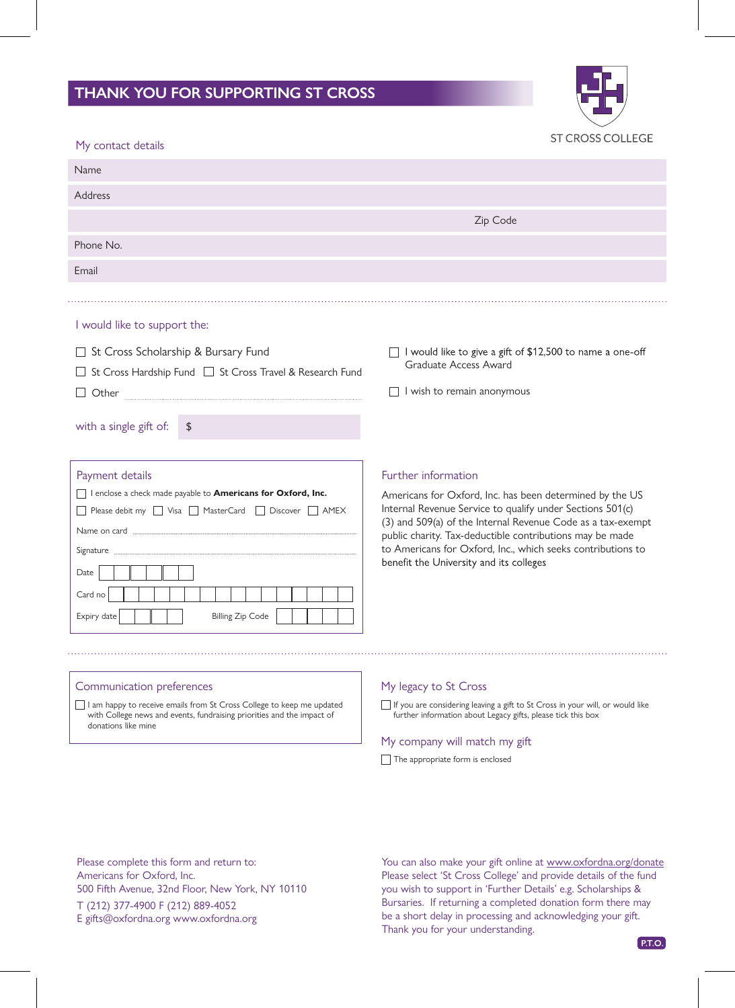## **THANK YOU FOR SUPPORTING ST CROSS**



| My contact details                                                                                                                                                                                         | <u>JI UNUJJUULLEUL</u>                                                                                                                                                                                                                                                                                                                                                            |
|------------------------------------------------------------------------------------------------------------------------------------------------------------------------------------------------------------|-----------------------------------------------------------------------------------------------------------------------------------------------------------------------------------------------------------------------------------------------------------------------------------------------------------------------------------------------------------------------------------|
| Name                                                                                                                                                                                                       |                                                                                                                                                                                                                                                                                                                                                                                   |
| Address                                                                                                                                                                                                    |                                                                                                                                                                                                                                                                                                                                                                                   |
|                                                                                                                                                                                                            | Zip Code                                                                                                                                                                                                                                                                                                                                                                          |
| Phone No.                                                                                                                                                                                                  |                                                                                                                                                                                                                                                                                                                                                                                   |
| Email                                                                                                                                                                                                      |                                                                                                                                                                                                                                                                                                                                                                                   |
|                                                                                                                                                                                                            |                                                                                                                                                                                                                                                                                                                                                                                   |
| I would like to support the:                                                                                                                                                                               |                                                                                                                                                                                                                                                                                                                                                                                   |
| □ St Cross Scholarship & Bursary Fund<br>□ St Cross Hardship Fund □ St Cross Travel & Research Fund<br>with a single gift of:<br>\$                                                                        | I would like to give a gift of \$12,500 to name a one-off<br>Graduate Access Award<br>I wish to remain anonymous                                                                                                                                                                                                                                                                  |
| Payment details<br>I enclose a check made payable to Americans for Oxford, Inc.<br>Please debit my Wisa MasterCard Discover AMEX<br>Signature<br>Date<br>Card no<br>Expiry date<br><b>Billing Zip Code</b> | Further information<br>Americans for Oxford, Inc. has been determined by the US<br>Internal Revenue Service to qualify under Sections 501(c)<br>(3) and 509(a) of the Internal Revenue Code as a tax-exempt<br>public charity. Tax-deductible contributions may be made<br>to Americans for Oxford, Inc., which seeks contributions to<br>benefit the University and its colleges |
| Communication preferences                                                                                                                                                                                  | My legacy to St Cross                                                                                                                                                                                                                                                                                                                                                             |

I am happy to receive emails from St Cross College to keep me updated with College news and events, fundraising priorities and the impact of donations like mine

# further information about Legacy gifts, please tick this box

### My company will match my gift

The appropriate form is enclosed

Please complete this form and return to: Americans for Oxford, Inc. 500 Fifth Avenue, 32nd Floor, New York, NY 10110 T (212) 377-4900 F (212) 889-4052 E gifts@oxfordna.org www.oxfordna.org

You can also make your gift online at www.oxfordna.org/donate Please select 'St Cross College' and provide details of the fund you wish to support in 'Further Details' e.g. Scholarships & Bursaries. If returning a completed donation form there may be a short delay in processing and acknowledging your gift. Thank you for your understanding.

If you are considering leaving a gift to St Cross in your will, or would like